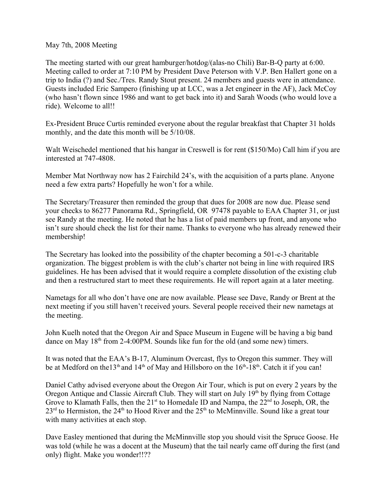May 7th, 2008 Meeting

The meeting started with our great hamburger/hotdog/(alas-no Chili) Bar-B-Q party at 6:00. Meeting called to order at 7:10 PM by President Dave Peterson with V.P. Ben Hallert gone on a trip to India (?) and Sec./Tres. Randy Stout present. 24 members and guests were in attendance. Guests included Eric Sampero (finishing up at LCC, was a Jet engineer in the AF), Jack McCoy (who hasn't flown since 1986 and want to get back into it) and Sarah Woods (who would love a ride). Welcome to all!!

Ex-President Bruce Curtis reminded everyone about the regular breakfast that Chapter 31 holds monthly, and the date this month will be 5/10/08.

Walt Weischedel mentioned that his hangar in Creswell is for rent (\$150/Mo) Call him if you are interested at 747-4808.

Member Mat Northway now has 2 Fairchild 24's, with the acquisition of a parts plane. Anyone need a few extra parts? Hopefully he won't for a while.

The Secretary/Treasurer then reminded the group that dues for 2008 are now due. Please send your checks to 86277 Panorama Rd., Springfield, OR 97478 payable to EAA Chapter 31, or just see Randy at the meeting. He noted that he has a list of paid members up front, and anyone who isn't sure should check the list for their name. Thanks to everyone who has already renewed their membership!

The Secretary has looked into the possibility of the chapter becoming a 501-c-3 charitable organization. The biggest problem is with the club's charter not being in line with required IRS guidelines. He has been advised that it would require a complete dissolution of the existing club and then a restructured start to meet these requirements. He will report again at a later meeting.

Nametags for all who don't have one are now available. Please see Dave, Randy or Brent at the next meeting if you still haven't received yours. Several people received their new nametags at the meeting.

John Kuelh noted that the Oregon Air and Space Museum in Eugene will be having a big band dance on May  $18<sup>th</sup>$  from 2-4:00PM. Sounds like fun for the old (and some new) timers.

It was noted that the EAA's B-17, Aluminum Overcast, flys to Oregon this summer. They will be at Medford on the 13<sup>th</sup> and 14<sup>th</sup> of May and Hillsboro on the 16<sup>th</sup>-18<sup>th</sup>. Catch it if you can!

Daniel Cathy advised everyone about the Oregon Air Tour, which is put on every 2 years by the Oregon Antique and Classic Aircraft Club. They will start on July  $19<sup>th</sup>$  by flying from Cottage Grove to Klamath Falls, then the  $21<sup>st</sup>$  to Homedale ID and Nampa, the  $22<sup>nd</sup>$  to Joseph, OR, the  $23<sup>rd</sup>$  to Hermiston, the  $24<sup>th</sup>$  to Hood River and the  $25<sup>th</sup>$  to McMinnville. Sound like a great tour with many activities at each stop.

Dave Easley mentioned that during the McMinnville stop you should visit the Spruce Goose. He was told (while he was a docent at the Museum) that the tail nearly came off during the first (and only) flight. Make you wonder!!??